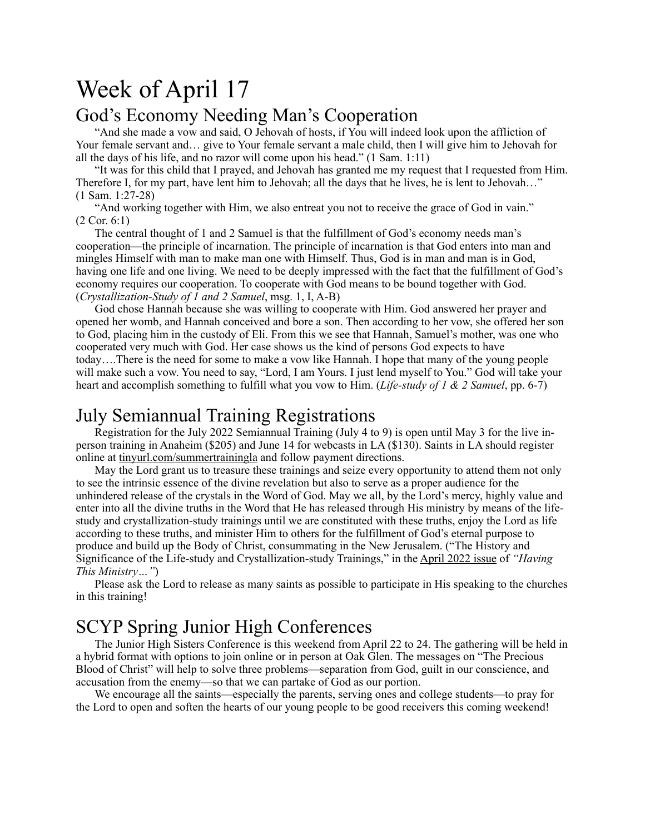# Week of April 17

#### God's Economy Needing Man's Cooperation

"And she made a vow and said, O Jehovah of hosts, if You will indeed look upon the affliction of Your female servant and… give to Your female servant a male child, then I will give him to Jehovah for all the days of his life, and no razor will come upon his head." (1 Sam. 1:11)

"It was for this child that I prayed, and Jehovah has granted me my request that I requested from Him. Therefore I, for my part, have lent him to Jehovah; all the days that he lives, he is lent to Jehovah..." (1 Sam. 1:27-28)

"And working together with Him, we also entreat you not to receive the grace of God in vain." (2 Cor. 6:1)

The central thought of 1 and 2 Samuel is that the fulfillment of God's economy needs man's cooperation—the principle of incarnation. The principle of incarnation is that God enters into man and mingles Himself with man to make man one with Himself. Thus, God is in man and man is in God, having one life and one living. We need to be deeply impressed with the fact that the fulfillment of God's economy requires our cooperation. To cooperate with God means to be bound together with God. (*Crystallization-Study of 1 and 2 Samuel*, msg. 1, I, A-B)

God chose Hannah because she was willing to cooperate with Him. God answered her prayer and opened her womb, and Hannah conceived and bore a son. Then according to her vow, she offered her son to God, placing him in the custody of Eli. From this we see that Hannah, Samuel's mother, was one who cooperated very much with God. Her case shows us the kind of persons God expects to have today….There is the need for some to make a vow like Hannah. I hope that many of the young people will make such a vow. You need to say, "Lord, I am Yours. I just lend myself to You." God will take your heart and accomplish something to fulfill what you vow to Him. (*Life-study of 1 & 2 Samuel*, pp. 6-7)

#### July Semiannual Training Registrations

Registration for the July 2022 Semiannual Training (July 4 to 9) is open until May 3 for the live inperson training in Anaheim (\$205) and June 14 for webcasts in LA (\$130). Saints in LA should register online at [tinyurl.com/summertrainingla](http://tinyurl.com/summertrainingla) and follow payment directions.

May the Lord grant us to treasure these trainings and seize every opportunity to attend them not only to see the intrinsic essence of the divine revelation but also to serve as a proper audience for the unhindered release of the crystals in the Word of God. May we all, by the Lord's mercy, highly value and enter into all the divine truths in the Word that He has released through His ministry by means of the lifestudy and crystallization-study trainings until we are constituted with these truths, enjoy the Lord as life according to these truths, and minister Him to others for the fulfillment of God's eternal purpose to produce and build up the Body of Christ, consummating in the New Jerusalem. ("The History and Significance of the Life-study and Crystallization-study Trainings," in the [April 2022 issue](https://newsletters.lsm.org/having-this-ministry/issues/Apr2022-012/history-significance-of-training.html) of *"Having This Ministry…"*)

Please ask the Lord to release as many saints as possible to participate in His speaking to the churches in this training!

# SCYP Spring Junior High Conferences

The Junior High Sisters Conference is this weekend from April 22 to 24. The gathering will be held in a hybrid format with options to join online or in person at Oak Glen. The messages on "The Precious Blood of Christ" will help to solve three problems—separation from God, guilt in our conscience, and accusation from the enemy—so that we can partake of God as our portion.

We encourage all the saints—especially the parents, serving ones and college students—to pray for the Lord to open and soften the hearts of our young people to be good receivers this coming weekend!